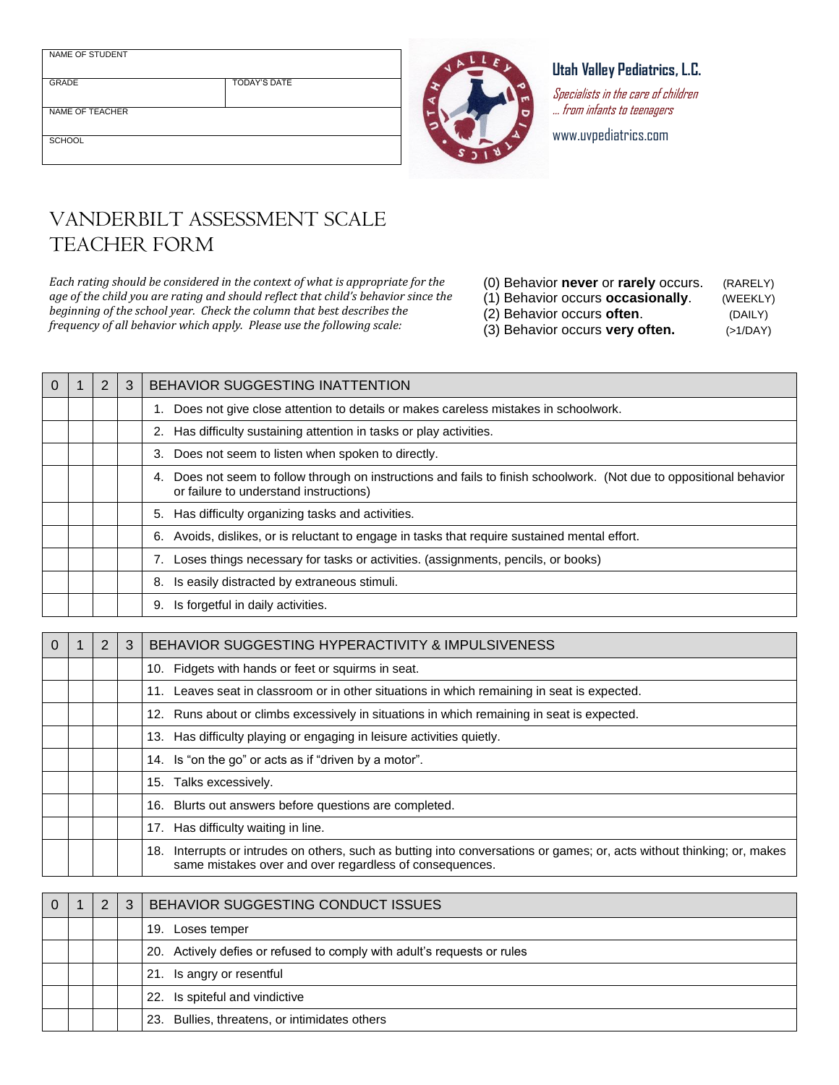NAME OF STUDENT

GRADE TODAY'S DATE

NAME OF TEACHER

SCHOOL

## **Utah Valley Pediatrics, L.C.**

Specialists in the care of children … from infants to teenagers

www.uvpediatrics.com

## VANDERBILT ASSESSMENT SCALE TEACHER FORM

*Each rating should be considered in the context of what is appropriate for the age of the child you are rating and should reflect that child's behavior since the beginning of the school year. Check the column that best describes the frequency of all behavior which apply. Please use the following scale:* 

- (0) Behavior **never** or **rarely** occurs. (RARELY) (1) Behavior occurs **occasionally**. (WEEKLY)
- (2) Behavior occurs **often**. (DAILY)
- 

(3) Behavior occurs **very often.** (>1/DAY)

| 2<br>BEHAVIOR SUGGESTING INATTENTION<br>1. Does not give close attention to details or makes careless mistakes in schoolwork.<br>2. Has difficulty sustaining attention in tasks or play activities.<br>3. Does not seem to listen when spoken to directly.<br>Does not seem to follow through on instructions and fails to finish schoolwork. (Not due to oppositional behavior<br>4.<br>or failure to understand instructions)<br>5. Has difficulty organizing tasks and activities. |
|----------------------------------------------------------------------------------------------------------------------------------------------------------------------------------------------------------------------------------------------------------------------------------------------------------------------------------------------------------------------------------------------------------------------------------------------------------------------------------------|
|                                                                                                                                                                                                                                                                                                                                                                                                                                                                                        |
|                                                                                                                                                                                                                                                                                                                                                                                                                                                                                        |
|                                                                                                                                                                                                                                                                                                                                                                                                                                                                                        |
|                                                                                                                                                                                                                                                                                                                                                                                                                                                                                        |
|                                                                                                                                                                                                                                                                                                                                                                                                                                                                                        |
|                                                                                                                                                                                                                                                                                                                                                                                                                                                                                        |
| 6. Avoids, dislikes, or is reluctant to engage in tasks that require sustained mental effort.                                                                                                                                                                                                                                                                                                                                                                                          |
| 7. Loses things necessary for tasks or activities. (assignments, pencils, or books)                                                                                                                                                                                                                                                                                                                                                                                                    |
| Is easily distracted by extraneous stimuli.<br>8.                                                                                                                                                                                                                                                                                                                                                                                                                                      |
| Is forgetful in daily activities.<br>9.                                                                                                                                                                                                                                                                                                                                                                                                                                                |

| $\Omega$ | 2 | 3 | BEHAVIOR SUGGESTING HYPERACTIVITY & IMPULSIVENESS                                                                                                                                  |
|----------|---|---|------------------------------------------------------------------------------------------------------------------------------------------------------------------------------------|
|          |   |   | 10. Fidgets with hands or feet or squirms in seat.                                                                                                                                 |
|          |   |   | 11. Leaves seat in classroom or in other situations in which remaining in seat is expected.                                                                                        |
|          |   |   | 12. Runs about or climbs excessively in situations in which remaining in seat is expected.                                                                                         |
|          |   |   | 13. Has difficulty playing or engaging in leisure activities quietly.                                                                                                              |
|          |   |   | 14. Is "on the go" or acts as if "driven by a motor".                                                                                                                              |
|          |   |   | 15. Talks excessively.                                                                                                                                                             |
|          |   |   | 16. Blurts out answers before questions are completed.                                                                                                                             |
|          |   |   | 17. Has difficulty waiting in line.                                                                                                                                                |
|          |   |   | 18. Interrupts or intrudes on others, such as butting into conversations or games; or, acts without thinking; or, makes<br>same mistakes over and over regardless of consequences. |

|  | 2 | 3 | BEHAVIOR SUGGESTING CONDUCT ISSUES                                      |
|--|---|---|-------------------------------------------------------------------------|
|  |   |   | 19. Loses temper                                                        |
|  |   |   | 20. Actively defies or refused to comply with adult's requests or rules |
|  |   |   | 21. Is angry or resentful                                               |
|  |   |   | 22. Is spiteful and vindictive                                          |
|  |   |   | 23. Bullies, threatens, or intimidates others                           |